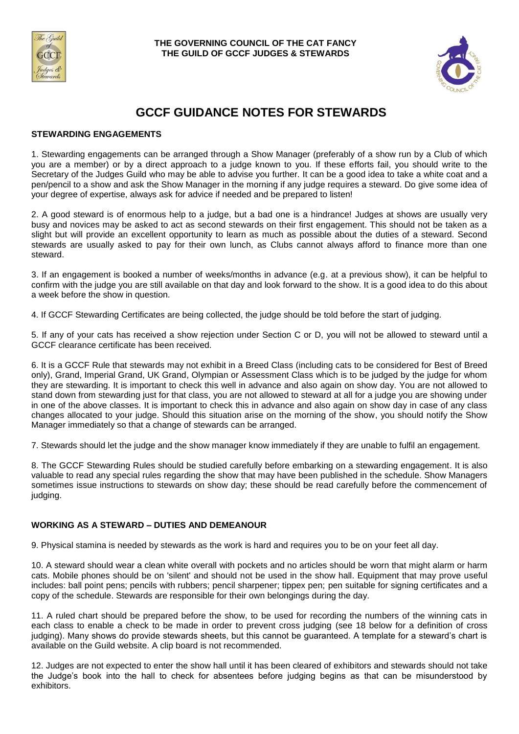



# **GCCF GUIDANCE NOTES FOR STEWARDS**

### **STEWARDING ENGAGEMENTS**

1. Stewarding engagements can be arranged through a Show Manager (preferably of a show run by a Club of which you are a member) or by a direct approach to a judge known to you. If these efforts fail, you should write to the Secretary of the Judges Guild who may be able to advise you further. It can be a good idea to take a white coat and a pen/pencil to a show and ask the Show Manager in the morning if any judge requires a steward. Do give some idea of your degree of expertise, always ask for advice if needed and be prepared to listen!

2. A good steward is of enormous help to a judge, but a bad one is a hindrance! Judges at shows are usually very busy and novices may be asked to act as second stewards on their first engagement. This should not be taken as a slight but will provide an excellent opportunity to learn as much as possible about the duties of a steward. Second stewards are usually asked to pay for their own lunch, as Clubs cannot always afford to finance more than one steward.

3. If an engagement is booked a number of weeks/months in advance (e.g. at a previous show), it can be helpful to confirm with the judge you are still available on that day and look forward to the show. It is a good idea to do this about a week before the show in question.

4. If GCCF Stewarding Certificates are being collected, the judge should be told before the start of judging.

5. If any of your cats has received a show rejection under Section C or D, you will not be allowed to steward until a GCCF clearance certificate has been received.

6. It is a GCCF Rule that stewards may not exhibit in a Breed Class (including cats to be considered for Best of Breed only), Grand, Imperial Grand, UK Grand, Olympian or Assessment Class which is to be judged by the judge for whom they are stewarding. It is important to check this well in advance and also again on show day. You are not allowed to stand down from stewarding just for that class, you are not allowed to steward at all for a judge you are showing under in one of the above classes. It is important to check this in advance and also again on show day in case of any class changes allocated to your judge. Should this situation arise on the morning of the show, you should notify the Show Manager immediately so that a change of stewards can be arranged.

7. Stewards should let the judge and the show manager know immediately if they are unable to fulfil an engagement.

8. The GCCF Stewarding Rules should be studied carefully before embarking on a stewarding engagement. It is also valuable to read any special rules regarding the show that may have been published in the schedule. Show Managers sometimes issue instructions to stewards on show day; these should be read carefully before the commencement of judging.

## **WORKING AS A STEWARD – DUTIES AND DEMEANOUR**

9. Physical stamina is needed by stewards as the work is hard and requires you to be on your feet all day.

10. A steward should wear a clean white overall with pockets and no articles should be worn that might alarm or harm cats. Mobile phones should be on 'silent' and should not be used in the show hall. Equipment that may prove useful includes: ball point pens; pencils with rubbers; pencil sharpener; tippex pen; pen suitable for signing certificates and a copy of the schedule. Stewards are responsible for their own belongings during the day.

11. A ruled chart should be prepared before the show, to be used for recording the numbers of the winning cats in each class to enable a check to be made in order to prevent cross judging (see 18 below for a definition of cross judging). Many shows do provide stewards sheets, but this cannot be guaranteed. A template for a steward's chart is available on the Guild website. A clip board is not recommended.

12. Judges are not expected to enter the show hall until it has been cleared of exhibitors and stewards should not take the Judge's book into the hall to check for absentees before judging begins as that can be misunderstood by exhibitors.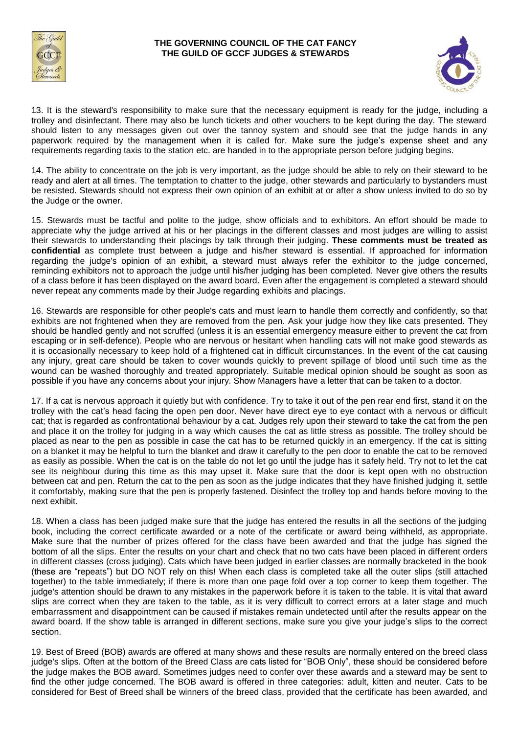

### **THE GOVERNING COUNCIL OF THE CAT FANCY THE GUILD OF GCCF JUDGES & STEWARDS**



13. It is the steward's responsibility to make sure that the necessary equipment is ready for the judge, including a trolley and disinfectant. There may also be lunch tickets and other vouchers to be kept during the day. The steward should listen to any messages given out over the tannoy system and should see that the judge hands in any paperwork required by the management when it is called for. Make sure the judge's expense sheet and any requirements regarding taxis to the station etc. are handed in to the appropriate person before judging begins.

14. The ability to concentrate on the job is very important, as the judge should be able to rely on their steward to be ready and alert at all times. The temptation to chatter to the judge, other stewards and particularly to bystanders must be resisted. Stewards should not express their own opinion of an exhibit at or after a show unless invited to do so by the Judge or the owner.

15. Stewards must be tactful and polite to the judge, show officials and to exhibitors. An effort should be made to appreciate why the judge arrived at his or her placings in the different classes and most judges are willing to assist their stewards to understanding their placings by talk through their judging. **These comments must be treated as confidential** as complete trust between a judge and his/her steward is essential. If approached for information regarding the judge's opinion of an exhibit, a steward must always refer the exhibitor to the judge concerned, reminding exhibitors not to approach the judge until his/her judging has been completed. Never give others the results of a class before it has been displayed on the award board. Even after the engagement is completed a steward should never repeat any comments made by their Judge regarding exhibits and placings.

16. Stewards are responsible for other people's cats and must learn to handle them correctly and confidently, so that exhibits are not frightened when they are removed from the pen. Ask your judge how they like cats presented. They should be handled gently and not scruffed (unless it is an essential emergency measure either to prevent the cat from escaping or in self-defence). People who are nervous or hesitant when handling cats will not make good stewards as it is occasionally necessary to keep hold of a frightened cat in difficult circumstances. In the event of the cat causing any injury, great care should be taken to cover wounds quickly to prevent spillage of blood until such time as the wound can be washed thoroughly and treated appropriately. Suitable medical opinion should be sought as soon as possible if you have any concerns about your injury. Show Managers have a letter that can be taken to a doctor.

17. If a cat is nervous approach it quietly but with confidence. Try to take it out of the pen rear end first, stand it on the trolley with the cat's head facing the open pen door. Never have direct eye to eye contact with a nervous or difficult cat; that is regarded as confrontational behaviour by a cat. Judges rely upon their steward to take the cat from the pen and place it on the trolley for judging in a way which causes the cat as little stress as possible. The trolley should be placed as near to the pen as possible in case the cat has to be returned quickly in an emergency. If the cat is sitting on a blanket it may be helpful to turn the blanket and draw it carefully to the pen door to enable the cat to be removed as easily as possible. When the cat is on the table do not let go until the judge has it safely held. Try not to let the cat see its neighbour during this time as this may upset it. Make sure that the door is kept open with no obstruction between cat and pen. Return the cat to the pen as soon as the judge indicates that they have finished judging it, settle it comfortably, making sure that the pen is properly fastened. Disinfect the trolley top and hands before moving to the next exhibit.

18. When a class has been judged make sure that the judge has entered the results in all the sections of the judging book, including the correct certificate awarded or a note of the certificate or award being withheld, as appropriate. Make sure that the number of prizes offered for the class have been awarded and that the judge has signed the bottom of all the slips. Enter the results on your chart and check that no two cats have been placed in different orders in different classes (cross judging). Cats which have been judged in earlier classes are normally bracketed in the book (these are "repeats") but DO NOT rely on this! When each class is completed take all the outer slips (still attached together) to the table immediately; if there is more than one page fold over a top corner to keep them together. The judge's attention should be drawn to any mistakes in the paperwork before it is taken to the table. It is vital that award slips are correct when they are taken to the table, as it is very difficult to correct errors at a later stage and much embarrassment and disappointment can be caused if mistakes remain undetected until after the results appear on the award board. If the show table is arranged in different sections, make sure you give your judge's slips to the correct section.

19. Best of Breed (BOB) awards are offered at many shows and these results are normally entered on the breed class judge's slips. Often at the bottom of the Breed Class are cats listed for "BOB Only", these should be considered before the judge makes the BOB award. Sometimes judges need to confer over these awards and a steward may be sent to find the other judge concerned. The BOB award is offered in three categories: adult, kitten and neuter. Cats to be considered for Best of Breed shall be winners of the breed class, provided that the certificate has been awarded, and